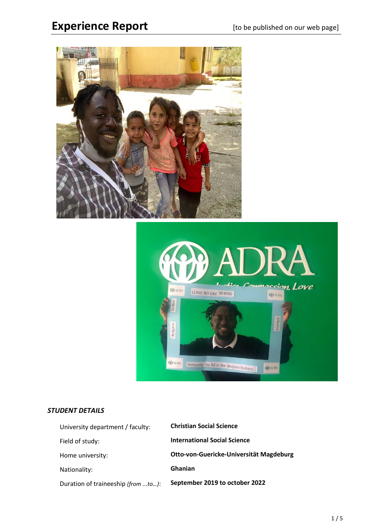# Experience Report **Experience**  $\text{Report}$  [to be published on our web page]





# *STUDENT DETAILS*

| University department / faculty:   | <b>Christian Social Science</b>         |
|------------------------------------|-----------------------------------------|
| Field of study:                    | <b>International Social Science</b>     |
| Home university:                   | Otto-von-Guericke-Universität Magdeburg |
| Nationality:                       | <b>Ghanian</b>                          |
| Duration of traineeship (from to): | September 2019 to october 2022          |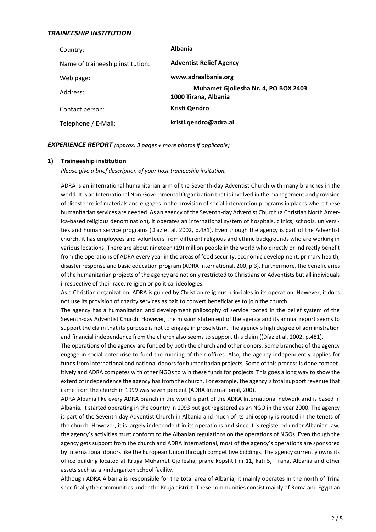# *TRAINEESHIP INSTITUTION*

| Country:                         | <b>Albania</b>                                               |
|----------------------------------|--------------------------------------------------------------|
| Name of traineeship institution: | <b>Adventist Relief Agency</b>                               |
| Web page:                        | www.adraalbania.org                                          |
| Address:                         | Muhamet Gjollesha Nr. 4, PO BOX 2403<br>1000 Tirana, Albania |
| Contact person:                  | Kristi Qendro                                                |
| Telephone / E-Mail:              | kristi.qendro@adra.al                                        |

#### *EXPERIENCE REPORT (approx. 3 pages + more photos if applicable)*

#### **1) Traineeship institution**

*Please give a brief description of your host traineeship insitution.*

ADRA is an international humanitarian arm of the Seventh-day Adventist Church with many branches in the world. It is an International Non-Governmental Organization that is involved in the management and provision of disaster relief materials and engages in the provision of social intervention programs in places where these humanitarian services are needed. As an agency of the Seventh-day Adventist Church (a Christian North America-based religious denomination), it operates an international system of hospitals, clinics, schools, universities and human service programs (Díaz et al, 2002, p.481). Even though the agency is part of the Adventist church, it has employees and volunteers from different religious and ethnic backgrounds who are working in various locations. There are about nineteen (19) million people in the world who directly or indirectly benefit from the operations of ADRA every year in the areas of food security, economic development, primary health, disaster response and basic education program (ADRA International, 200, p.3). Furthermore, the beneficiaries of the humanitarian projects of the agency are not only restricted to Christians or Adventists but all individuals irrespective of their race, religion or political ideologies.

As a Christian organization, ADRA is guided by Christian religious principles in its operation. However, it does not use its provision of charity services as bait to convert beneficiaries to join the church.

The agency has a humanitarian and development philosophy of service rooted in the belief system of the Seventh-day Adventist Church. However, the mission statement of the agency and its annual report seems to support the claim that its purpose is not to engage in proselytism. The agency´s high degree of administration and financial independence from the church also seems to support this claim ((Díaz et al, 2002, p.481).

The operations of the agency are funded by both the church and other donors. Some branches of the agency engage in social enterprise to fund the running of their offices. Also, the agency independently applies for funds from international and national donors for humanitarian projects. Some of this process is done competitively and ADRA competes with other NGOs to win these funds for projects. This goes a long way to show the extent of independence the agency has from the church. For example, the agency´s total support revenue that came from the church in 1999 was seven percent (ADRA International, 200).

ADRA Albania like every ADRA branch in the world is part of the ADRA International network and is based in Albania. It started operating in the country in 1993 but got registered as an NGO in the year 2000. The agency is part of the Seventh-day Adventist Church in Albania and much of its philosophy is rooted in the tenets of the church. However, it is largely independent in its operations and since it is registered under Albanian law, the agency´s activities must conform to the Albanian regulations on the operations of NGOs. Even though the agency gets support from the church and ADRA International, most of the agency´s operations are sponsored by international donors like the European Union through competitive biddings. The agency currently owns its office building located at Rruga Muhamet Gjollesha, pranë kopshtit nr.11, kati 5, Tirana, Albania and other assets such as a kindergarten school facility.

Although ADRA Albania is responsible for the total area of Albania, it mainly operates in the north of Trina specifically the communities under the Kruja district. These communities consist mainly of Roma and Egyptian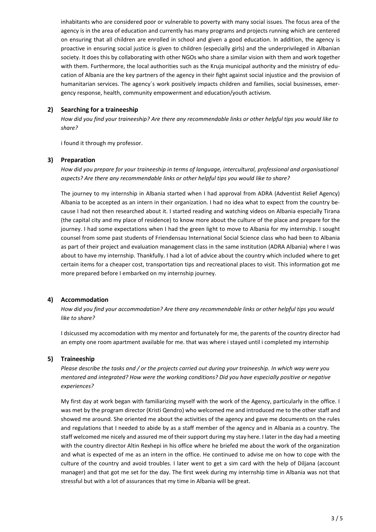inhabitants who are considered poor or vulnerable to poverty with many social issues. The focus area of the agency is in the area of education and currently has many programs and projects running which are centered on ensuring that all children are enrolled in school and given a good education. In addition, the agency is proactive in ensuring social justice is given to children (especially girls) and the underprivileged in Albanian society. It does this by collaborating with other NGOs who share a similar vision with them and work together with them. Furthermore, the local authorities such as the Kruja municipal authority and the ministry of education of Albania are the key partners of the agency in their fight against social injustice and the provision of humanitarian services. The agency´s work positively impacts children and families, social businesses, emergency response, health, community empowerment and education/youth activism.

# **2) Searching for a traineeship**

*How did you find your traineeship? Are there any recommendable links or other helpful tips you would like to share?*

i found it through my professor.

#### **3) Preparation**

*How did you prepare for your traineeship in terms of language, intercultural, professional and organisational aspects? Are there any recommendable links or other helpful tips you would like to share?*

The journey to my internship in Albania started when I had approval from ADRA (Adventist Relief Agency) Albania to be accepted as an intern in their organization. I had no idea what to expect from the country because I had not then researched about it. I started reading and watching videos on Albania especially Tirana (the capital city and my place of residence) to know more about the culture of the place and prepare for the journey. I had some expectations when I had the green light to move to Albania for my internship. I sought counsel from some past students of Friendensau International Social Science class who had been to Albania as part of their project and evaluation management class in the same institution (ADRA Albania) where I was about to have my internship. Thankfully. I had a lot of advice about the country which included where to get certain items for a cheaper cost, transportation tips and recreational places to visit. This information got me more prepared before I embarked on my internship journey.

#### **4) Accommodation**

*How did you find your accommodation? Are there any recommendable links or other helpful tips you would like to share?*

I dsicussed my accomodation with my mentor and fortunately for me, the parents of the country director had an empty one room apartment available for me. that was where i stayed until i completed my internship

#### **5) Traineeship**

*Please describe the tasks and / or the projects carried out during your traineeship. In which way were you mentored and integrated? How were the working conditions? Did you have especially positive or negative experiences?*

My first day at work began with familiarizing myself with the work of the Agency, particularly in the office. I was met by the program director (Kristi Qendro) who welcomed me and introduced me to the other staff and showed me around. She oriented me about the activities of the agency and gave me documents on the rules and regulations that I needed to abide by as a staff member of the agency and in Albania as a country. The staff welcomed me nicely and assured me of their support during my stay here. I later in the day had a meeting with the country director Altin Rexhepi in his office where he briefed me about the work of the organization and what is expected of me as an intern in the office. He continued to advise me on how to cope with the culture of the country and avoid troubles. I later went to get a sim card with the help of Diljana (account manager) and that got me set for the day. The first week during my internship time in Albania was not that stressful but with a lot of assurances that my time in Albania will be great.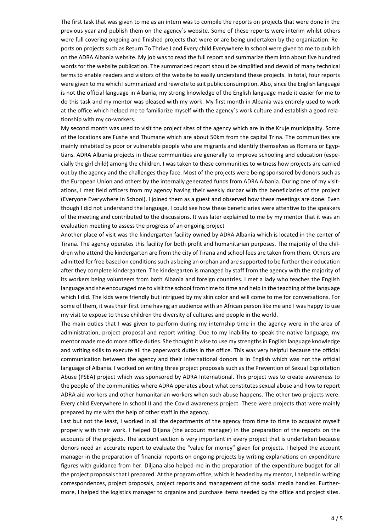The first task that was given to me as an intern was to compile the reports on projects that were done in the previous year and publish them on the agency´s website. Some of these reports were interim whilst others were full covering ongoing and finished projects that were or are being undertaken by the organization. Reports on projects such as Return To Thrive I and Every child Everywhere In school were given to me to publish on the ADRA Albania website. My job was to read the full report and summarize them into about five hundred words for the website publication. The summarized report should be simplified and devoid of many technical terms to enable readers and visitors of the website to easily understand these projects. In total, four reports were given to me which I summarized and rewrote to suit public consumption. Also, since the English language is not the official language in Albania, my strong knowledge of the English language made it easier for me to do this task and my mentor was pleased with my work. My first month in Albania was entirely used to work at the office which helped me to familiarize myself with the agency´s work culture and establish a good relationship with my co-workers.

My second month was used to visit the project sites of the agency which are in the Kruje municipality. Some of the locations are Fushe and Thumane which are about 50km from the capital Trina. The communities are mainly inhabited by poor or vulnerable people who are migrants and identify themselves as Romans or Egyptians. ADRA Albania projects in these communities are generally to improve schooling and education (especially the girl child) among the children. I was taken to these communities to witness how projects are carried out by the agency and the challenges they face. Most of the projects were being sponsored by donors such as the European Union and others by the internally generated funds from ADRA Albania. During one of my visitations, I met field officers from my agency having their weekly durbar with the beneficiaries of the project (Everyone Everywhere In School). I joined them as a guest and observed how these meetings are done. Even though I did not understand the language, I could see how these beneficiaries were attentive to the speakers of the meeting and contributed to the discussions. It was later explained to me by my mentor that it was an evaluation meeting to assess the progress of an ongoing project

Another place of visit was the kindergarten facility owned by ADRA Albania which is located in the center of Tirana. The agency operates this facility for both profit and humanitarian purposes. The majority of the children who attend the kindergarten are from the city of Tirana and school fees are taken from them. Others are admitted for free based on conditions such as being an orphan and are supported to be further their education after they complete kindergarten. The kindergarten is managed by staff from the agency with the majority of its workers being volunteers from both Albania and foreign countries. I met a lady who teaches the English language and she encouraged me to visit the school from time to time and help in the teaching of the language which I did. The kids were friendly but intrigued by my skin color and will come to me for conversations. For some of them, it was their first time having an audience with an African person like me and I was happy to use my visit to expose to these children the diversity of cultures and people in the world.

The main duties that I was given to perform during my internship time in the agency were in the area of administration, project proposal and report writing. Due to my inability to speak the native language, my mentor made me do more office duties. She thought it wise to use my strengths in English language knowledge and writing skills to execute all the paperwork duties in the office. This was very helpful because the official communication between the agency and their international donors is in English which was not the official language of Albania. I worked on writing three project proposals such as the Prevention of Sexual Exploitation Abuse (PSEA) project which was sponsored by ADRA International. This project was to create awareness to the people of the communities where ADRA operates about what constitutes sexual abuse and how to report ADRA aid workers and other humanitarian workers when such abuse happens. The other two projects were: Every child Everywhere In school II and the Covid awareness project. These were projects that were mainly prepared by me with the help of other staff in the agency.

Last but not the least, I worked in all the departments of the agency from time to time to acquaint myself properly with their work. I helped Diljana (the account manager) in the preparation of the reports on the accounts of the projects. The account section is very important in every project that is undertaken because donors need an accurate report to evaluate the "value for money" given for projects. I helped the account manager in the preparation of financial reports on ongoing projects by writing explanations on expenditure figures with guidance from her. Diljana also helped me in the preparation of the expenditure budget for all the project proposals that I prepared. At the program office, which is headed by my mentor, I helped in writing correspondences, project proposals, project reports and management of the social media handles. Furthermore, I helped the logistics manager to organize and purchase items needed by the office and project sites.